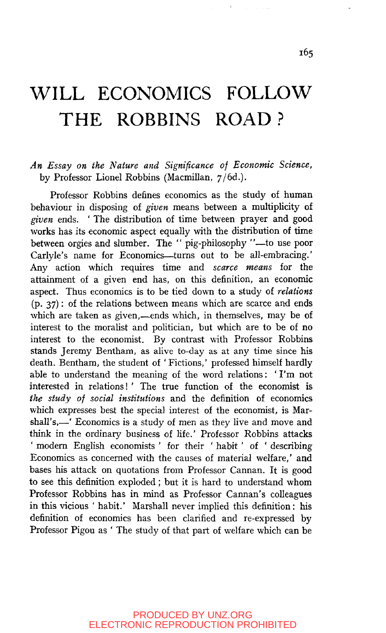### *An Essay on the Nature and Significance of Economic Science,*  by Professor Lionel Robbins (Macmillan, 7/6d.).

Professor Robbins defines economics as the study of human behaviour in disposing of *given* means between a multiplicity of *given* ends. ' The distribution of time between prayer and good works has its economic aspect equally with the distribution of time between orgies and slumber. The " pig-philosophy "—to use poor Carlyle's name for Economics—turns out to be all-embracing.' Any action which requires time and *scarce means* for the attainment of a given end has, on this definition, an economic aspect. Thus economics is to be tied down to a study of *relations*  (p. 37): of the relations between means which are scarce and ends which are taken as given,—ends which, in themselves, may be of interest to the moralist and politician, but which are to be of no interest to the economist. By contrast with Professor Robbins stands Jeremy Bentham, as alive to-day as at any time since his death. Bentham, the student of ' Fictions,' professed himself hardly able to understand the meaning of the word relations: 'I'm not interested in relations!' The true function of the economist is *the study of social institutions* and the definition of economics which expresses best the special interest of the economist, is Marshall's,—' Economics is a study of men as they live and move and think in the ordinary business of life.' Professor Robbins attacks ' modem English economists ' for their ' habit' of ' describing Economics as concerned with the causes of material welfare,' and bases his attack on quotations from Professor Cannan. It is good to see this definition exploded ; but it is hard to understand whom Professor Robbins has in mind as Professor Cannan's colleagues in this vicious ' habit.' Marshall never implied this definition: his definition of economics has been clarified and re-expressed by Professor Pigou as ' The study of that part of welfare which can be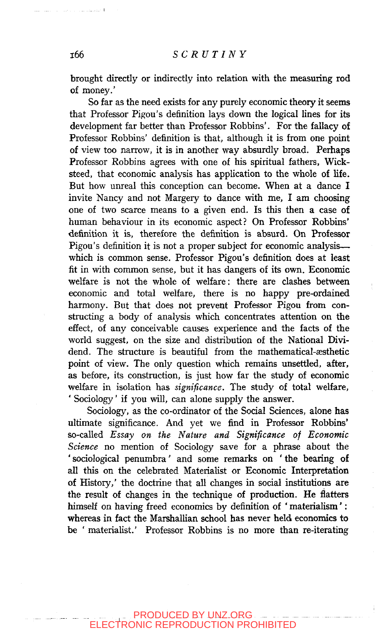brought directly or indirectly into relation with the measuring rod of money.'

So far as the need exists for any purely economic theory it seems that Professor Pigou's definition lays down the logical lines for its development far better than Professor Robbins'. For the fallacy of Professor Robbins' definition is that, although it is from one point of view too narrow, it is in another way absurdly broad. Perhaps Professor Robbins agrees with one of his spiritual fathers, Wicksteed, that economic analysis has application to the whole of life. But how unreal this conception can become. When at a dance I invite Nancy and not Margery to dance with me, I am choosing one of two scarce means to a given end. Is this then a case of human behaviour in its economic aspect? On Professor Robbins' definition it is, therefore the definition is absurd. On Professor Pigou's definition it is not a proper subject for economic analysis which is common sense. Professor Pigou's definition does at least fit in with common sense, but it has dangers of its own. Economic welfare is not the whole of welfare: there are clashes between economic and total welfare, there is no happy pre-ordained harmony. But that does not prevent Professor Pigou from constructing a body of analysis which concentrates attention on the effect, of any conceivable causes experience and the facts of the world suggest, on the size and distribution of the National Dividend. The structure is beautiful from the mathematical-æsthetic point of view. The only question which remains unsettled, after, as before, its construction, is just how far the study of economic welfare in isolation has *significance.* The study of total welfare, ' Sociology' if you will, can alone supply the answer.

Sociology, as the co-ordinator of the Social Sciences, alone has ultimate significance. And yet we find in Professor Robbins' so-called *Essay on the Nature and Significance of Economic Science* no mention of Sociology save for a phrase about the ' sociological penumbra' and some remarks on ' the bearing of all this on the celebrated Materialist or Economic Interpretation of History,' the doctrine that all changes in social institutions are the result of changes in the technique of production. He flatters himself on having freed economics by definition of ' materialism': whereas in fact the Marshallian school has never held economics to be ' materialist.' Professor Robbins is no more than re-iterating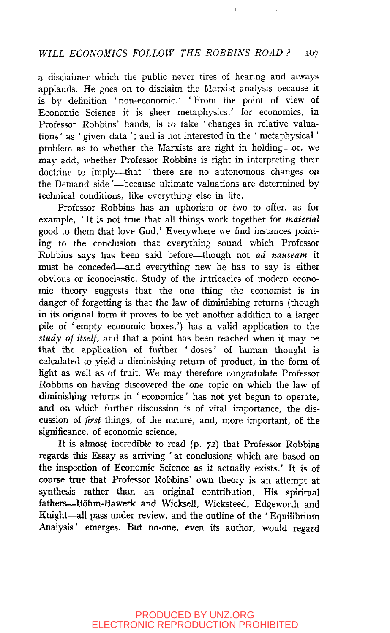**Contractor** 

a disclaimer which the public never tires of hearing and always applauds. He goes on to disclaim the Marxist analysis because it is by definition ' non-economic' ' From the point of view of Economic Science it is sheer metaphysics,' for economics, in Professor Robbins' hands, is to take ' changes in relative valuations ' as ' given data '; and is not interested in the ' metaphysical' problem as to whether the Marxists are right in holding—or, we may add, whether Professor Robbins is right in interpreting their doctrine to imply—that ' there are no autonomous changes on the Demand side'—because ultimate valuations are determined by technical conditions, like everything else in life.

Professor Robbins has an aphorism or two to offer, as for example, ' It is not true that all things work together for *material*  good to them that love God.' Everywhere we find instances pointing to the conclusion that everything sound which Professor Robbins says has been said before—though not *ad nauseam* it must be conceded—and everything new he has to say is either obvious or iconoclastic. Study of the intricacies of modern economic theory suggests that the one thing the economist is in danger of forgetting is that the law of diminishing returns (though in its original form it proves to be yet another addition to a larger pile of ' empty economic boxes,') has a valid application to the *study of itself,* and that a point has been reached when it may be that the application of further 'doses' of human thought is calculated to yield a diminishing return of product, in the form of light as well as of fruit. We may therefore congratulate Professor Robbins on having discovered the one topic on which the law of diminishing returns in ' economics' has not yet begun to operate, and on which further discussion is of vital importance, the discussion of *first* things, of the nature, and, more important, of the significance, of economic science.

It is almost incredible to read (p. 72) that Professor Robbins regards this Essay as arriving ' at conclusions which are based on the inspection of Economic Science as it actually exists.' It is of course true that Professor Robbins' own theory is an attempt at synthesis rather than an original contribution. His spiritual fathers—Bohm-Bawerk and Wicksell, Wicksteed, Edgeworth and Knight—all pass under review, and the outline of the ' Equilibrium Analysis' emerges. But no-one, even its author, would regard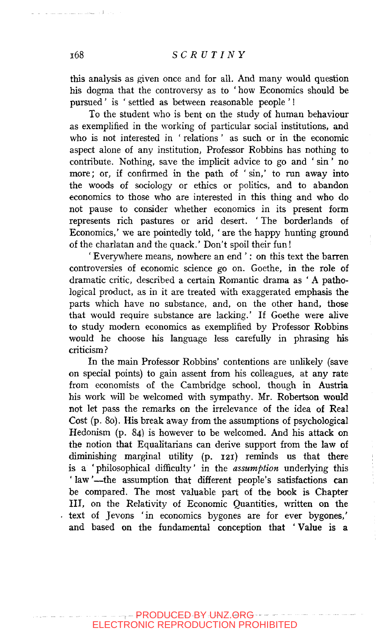this analysis as given once and for all. And many would question his dogma that the controversy as to ' how Economics should be pursued' is ' settled as between reasonable people '!

To the student who is bent on the study of human behaviour as exemplified in the working of particular social institutions, and who is not interested in ' relations ' as such or in the economic aspect alone of any institution. Professor Robbins has nothing to contribute. Nothing, save the implicit advice to go and ' sin' no more; or, if confirmed in the path of 'sin,' to run away into the woods of sociology or ethics or politics, and to abandon economics to those who are interested in this thing and who do not pause to consider whether economics in its present form represents rich pastures or arid desert. ' The borderlands of Economics,' we are pointedly told, 'are the happy hunting ground of the charlatan and the quack.' Don't spoil their fun!

' Everywhere means, nowhere an end ': on this text the barren controversies of economic science go on. Goethe, in the role of dramatic critic, described a certain Romantic drama as ' A pathological product, as in it are treated with exaggerated emphasis the parts which have no substance, and, on the other hand, those that would require substance are lacking.' If Goethe were alive to study modern economics as exemplified by Professor Robbins would he choose his language less carefully in phrasing his criticism?

In the main Professor Robbins' contentions are unlikely (save on special points) to gain assent from his colleagues, at any rate from economists of the Cambridge school, though in Austria his work will be welcomed with sympathy. Mr. Robertson would not let pass the remarks on the irrelevance of the idea of Real Cost (p. 80). His break away from the assumptions of psychological Hedonism (p. 84) is however to be welcomed. And his attack on the notion that Equalitarians can derive support from the law of diminishing marginal utility (p. 121) reminds us that there is a 'philosophical difficulty' in the *assumption* underlying this ' law'—the assumption that different people's satisfactions can be compared. The most valuable part of the book is Chapter III, on the Relativity of Economic Quantities, written on the text of Jevons 'in economics bygones are for ever bygones,' and based on the fundamental conception that ' Value is a

- 1 - 1 - 1 - 1 - 1 - 1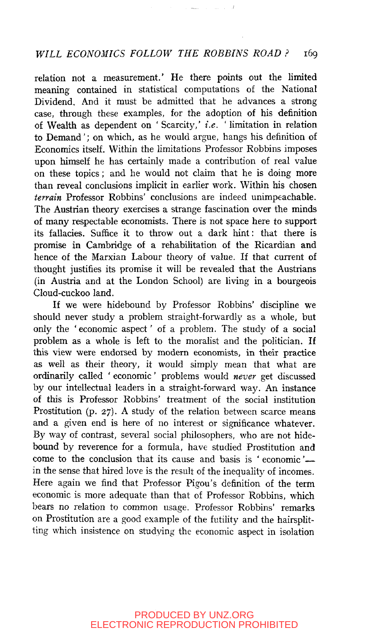relation not a measurement.' He there points out the limited meaning contained in statistical computations of the National Dividend. And it must be admitted that he advances a strong case, through these examples, for the adoption of his definition of Wealth as dependent on ' Scarcity,' *i.e. '* limitation in relation to Demand'; on which, as he would argue, hangs his definition of Economics itself. Within the limitations Professor Robbins imposes upon himself he has certainly made a contribution of real value on these topics; and he would not claim that he is doing more than reveal conclusions implicit in earlier work. Within his chosen *terrain* Professor Robbins' conclusions are indeed unimpeachable. The Austrian theory exercises a strange fascination over the minds of many respectable economists. There is not space here to support its fallacies. Suffice it to throw out a dark hint: that there is promise in Cambridge of a rehabilitation of the Ricardian and hence of the Marxian Labour theory of value. If that current of thought justifies its promise it will be revealed that the Austrians (in Austria and at the London School) are living in a bourgeois Cloud-cuckoo land.

If we were hidebound by Professor Robbins' discipline we should never study a problem straight-forwardly as a whole, but only the ' economic aspect' of a problem. The study of a social problem as a whole is left to the moralist and the politician. If this view were endorsed by modern economists, in their practice as well as their theory, it would simply mean that what are ordinarily called ' economic' problems would *never* get discussed by our intellectual leaders in a straight-forward way. An instance of this is Professor Robbins' treatment of the social institution Prostitution (p. 27). A study of the relation between scarce means and a given end is here of no interest or significance whatever. By way of contrast, several social philosophers, who are not hidebound by reverence for a formula, have studied Prostitution and come to the conclusion that its cause and basis is ' economic' in the sense that hired love is the result of the inequality of incomes. Here again we find that Professor Pigou's definition of the term economic is more adequate than that of Professor Robbins, which bears no relation to common usage. Professor Robbins' remarks on Prostitution are a good example of the futility and the hairsplitting which insistence on studying the economic aspect in isolation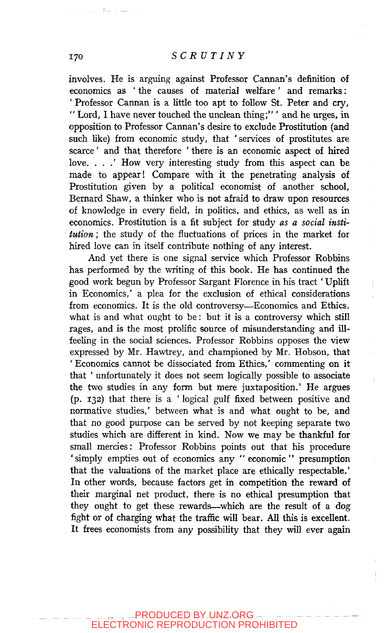involves. He is arguing against Professor Cannan's definition of economics as ' the causes of material welfare ' and remarks: ' Professor Cannan is a little too apt to follow St. Peter and cry, " Lord, I have never touched the unclean thing;" ' and he urges, in opposition to Professor Cannan's desire to exclude Prostitution (and such like) from economic study, that 'services of prostitutes are scarce' and that therefore ' there is an economic aspect of hired love. . . . ' How very interesting study from this aspect can be made to appear! Compare with it the penetrating analysis of Prostitution given by a political economist of another school, Bernard Shaw, a thinker who is not afraid to draw upon resources of knowledge in every field, in politics, and ethics, as well as in economics. Prostitution is a fit subject for study *as a social institution ;* the study of the fluctuations of prices in the market for hired love can in itself contribute nothing of any interest.

And yet there is one signal service which Professor Robbins has performed by the writing of this book. He has continued the good work begun by Professor Sargant Florence in his tract ' Uplift in Economics,' a plea for the exclusion of ethical considerations from economics. It is the old controversy—Economics and Ethics, what is and what ought to be: but it is a controversy which still rages, and is the most prolific source of misunderstanding and illfeeling in the social sciences. Professor Robbins opposes the view expressed by Mr. Hawtrey, and championed by Mr. Hobson, that 'Economics cannot be dissociated from Ethics,' commenting on it that ' unfortunately it does not seem logically possible to associate the two studies in any form but mere juxtaposition.' He argues (p. 132) that there is a ' logical gulf fixed between positive and normative studies,' between what is and what ought to be, and that no good purpose can be served by not keeping separate two studies which are different in kind. Now we may be thankful for small mercies: Professor Robbins points out that his procedure 'simply empties out of economics any "economic" presumption that the valuations of the market place are ethically respectable.' In other words, because factors get in competition the reward of their marginal net product, there is no ethical presumption that they ought to get these rewards—^which are the result of a dog fight or of charging what the traffic will bear. All this is excellent. It frees economists from any possibility that they will ever again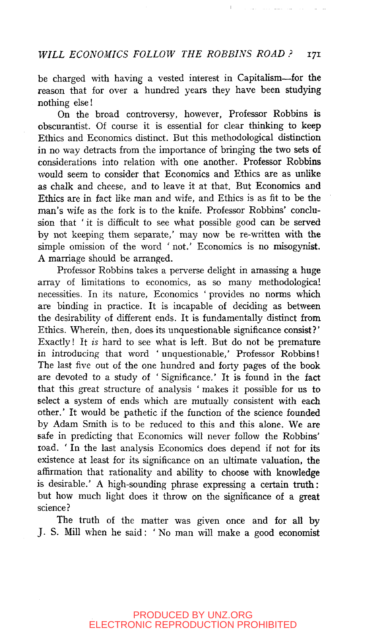be charged with having a vested interest in Capitalism—^for the reason that for over a hundred years they have been studying nothing else!

On the broad controversy, however, Professor Robbins is obscurantist. Of course it is essential for clear thinking to keep Ethics and Economics distinct. But this methodological distinction in no way detracts from the importance of bringing the two sets of considerations into relation with one another. Professor Robbins would seem to consider that Economics and Ethics are as unlike as chalk and cheese, and to leave it at that. But Economics and Ethics are in fact like man and wife, and Ethics is as fit to be the man's wife as the fork is to the knife. Professor Robbins' conclusion that ' it is difficult to see what possible good can be served by not keeping them separate,' may now be re-written with the simple omission of the word ' not.' Economics is no misogynist. A marriage should be arranged.

Professor Robbins takes a perverse delight in amassing a huge array of limitations to economics, as so many methodological necessities. In its nature, Economics ' provides no norms which are binding in practice. It is incapable of deciding as between the desirability of different ends. It is fundamentally distinct from Ethics. Wherein, then, does its unquestionable significance consist?' Exactly! It *is* hard to see what is left. But do not be premature in introducing that word ' unquestionable,' Professor Robbins! The last five out of the one hundred and forty pages of the book are devoted to a study of ' Significance.' It is found in the fact that this great structure of analysis ' makes it possible for us to select a system of ends which are mutually consistent with each other.' It would be pathetic if the function of the science founded by Adam Smith is to be reduced to this and this alone. We are safe in predicting that Economics will never follow the Robbins' road. 'In the last analysis Economics does depend if not for its existence at least for its significance on an ultimate valuation, the affirmation that rationality and ability to choose with knowledge is desirable.' A high-sounding phrase expressing a certain truth: but how much light does it throw on the significance of a great science?

The truth of the matter was given once and for all by J. S. Mill when he said: ' No man will make a good economist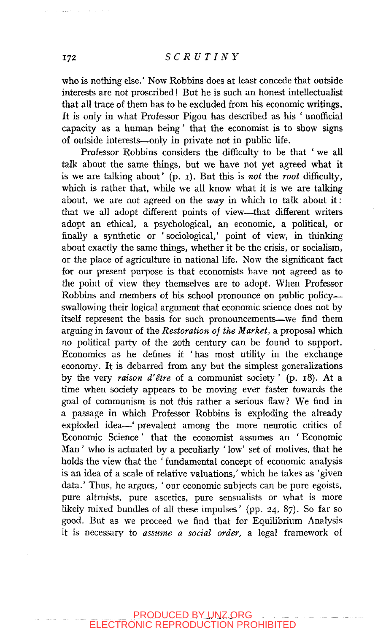who is nothing else.' Now Robbins does at least concede that outside interests are not proscribed! But he is such an honest intellectualist that all trace of them has to be excluded from his economic writings. It is only in what Professor Pigou has described as his ' unofficial capacity as a human being' that the economist is to show signs of outside interests—only in private not in public life.

Professor Robbins considers the difficulty to be that ' we all talk about the same things, but we have not yet agreed what it is we are talking about' (p. i). But this is *not* the *root* difficulty, which is rather that, while we all know what it is we are talking about, we are not agreed on the *way* in which to talk about it: that we all adopt different points of view—^that different writers adopt an ethical, a psychological, an economic, a political, or finally a synthetic or 'sociological,' point of view, in thinking about exactly the same things, whether it be the crisis, or socialism, or the place of agriculture in national life. Now the significant fact for our present purpose is that economists have not agreed as to the point of view they themselves are to adopt. When Professor Robbins and members of his school pronounce on public policy swallowing their logical argument that economic science does not by itself represent the basis for such pronouncements—we find them arguing in favour of the *Restoration of the Market,* a proposal which no political party of the 20th century can be found to support. Economics as he defines it 'has most utility in the exchange economy. It is debarred from any but the simplest generalizations by the very *raison d'etre* of a communist society' (p. 18). At a time when society appears to be moving ever faster towards the goal of communism is not this rather a serious flaw? We find in a passage in which Professor Robbins is exploding the already exploded idea—' prevalent among the more neurotic critics of Economic Science' that the economist assumes an ' Economic Man' who is actuated by a peculiarly ' low' set of motives, that he holds the view that the ' fundamental concept of economic analysis is an idea of a scale of relative valuations,' which he takes as 'given data.' Thus, he argues, ' our economic subjects can be pure egoists, pure altruists, pure ascetics, pure sensualists or what is more likely mixed bundles of all these impulses' (pp. 24, 87). So far so good. But as we proceed we find that for Equilibrium Analysis it is necessary to *assume a social order,* a legal framework of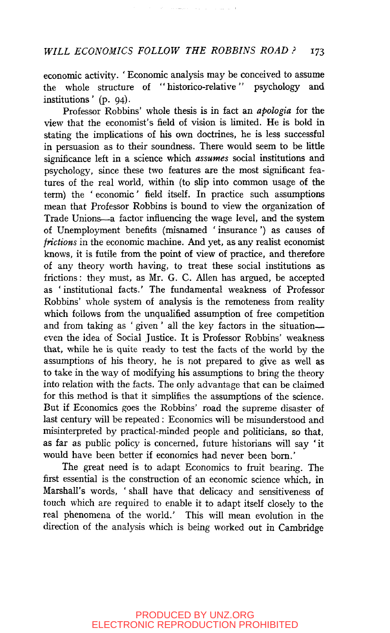economic activity. 'Economic analysis may be conceived to assume<br>the whole structure of "historico-relative" psychology and the whole structure of "historico-relative" psychology and institutions' (p. 04).

Professor Robbins' whole thesis is in fact an *apologia* for the view that the economist's field of vision is limited. He is bold in stating the implications of his own doctrines, he is less successful in persuasion as to their soundness. There would seem to be little significance left in a science which *assumes* social institutions and psychology, since these two features are the most significant features of the real world, within (to slip into common usage of the term) the ' economic' field itself. In practice such assumptions mean that Professor Robbins is bound to view the organization of Trade Unions—a factor influencing the wage level, and the system of Unemployment benefits (misnamed ' insurance') as causes of *frictions* in the economic machine. And yet, as any realist economist knows, it is futile from the point of view of practice, and therefore of any theory worth having, to treat these social institutions as frictions: they must, as Mr. G. C. Allen has argued, be accepted as ' institutional facts.' The fundamental weakness of Professor Robbins' whole system of analysis is the remoteness from reality which follows from the unqualified assumption of free competition and from taking as ' given' all the key factors in the situation even the idea of Social Justice. It is Professor Robbins' weakness that, while he is quite ready to test the facts of the world by the assumptions of his theory, he is not prepared to give as well as to take in the way of modifying his assumptions to bring the theory into relation with the facts. The only advantage that can be claimed for this method is that it simphfies the assumptions of the science. But if Economics goes the Robbins' road the supreme disaster of last century will be repeated: Economics will be misunderstood and misinterpreted by practical-minded people and politicians, so that, as far as public policy is concerned, future historians will say 'it would have been better if economics had never been bom.'

The great need is to adapt Economics to fruit bearing. The first essential is the construction of an economic science which, in Marshall's words, ' shall have that delicacy and sensitiveness of touch which are required to enable it to adapt itself closely to the real phenomena of the world.' This will mean evolution in the direction of the analysis which is being worked out in Cambridge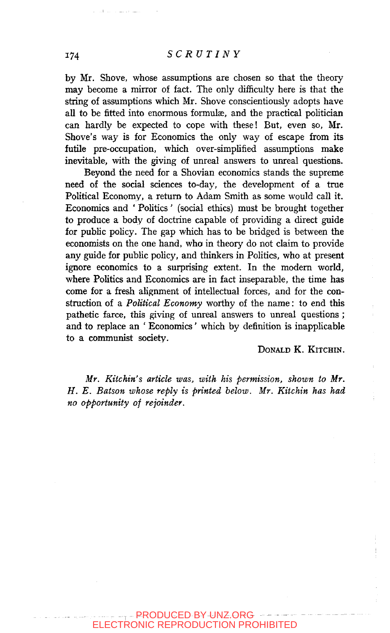by Mr. Shove, whose assumptions are chosen so that the theory may become a mirror of fact. The only difficulty here is that the string of assumptions which Mr. Shove conscientiously adopts have all to be fitted into enormous formulæ, and the practical politician can hardly be expected to cope with these! But, even so, Mr. Shove's way is for Economics the only way of escape from its futile pre-occupation, which over-simplified assumptions make inevitable, with the giving of unreal answers to unreal questions.

Beyond the need for a Shovian economics stands the supreme need of the social sciences to-day, the development of a true Political Economy, a return to Adam Smith as some would call it. Economics and ' Politics ' (social ethics) must be brought together to produce a body of doctrine capable of providing a direct guide for public policy. The gap which has to be bridged is between the economists on the one hand, who in theory do not claim to provide any guide for pubhc pohcy, and thinkers in Politics, who at present ignore economics to a surprising extent. In the modern world, where Politics and Economics are in fact inseparable, the time has come for a fresh alignment of intellectual forces, and for the construction of a *Political Economy* worthy of the name: to end this pathetic farce, this giving of unreal answers to unreal questions ; and to replace an ' Economics' which by definition is inapplicable to a communist society.

DONALD K. KITCHIN.

*Mr. Kitchin's article was, with his permission, shown to Mr. H. E. Batson whose reply is printed below. Mr. Kitchin has had no opportunity of rejoinder.*